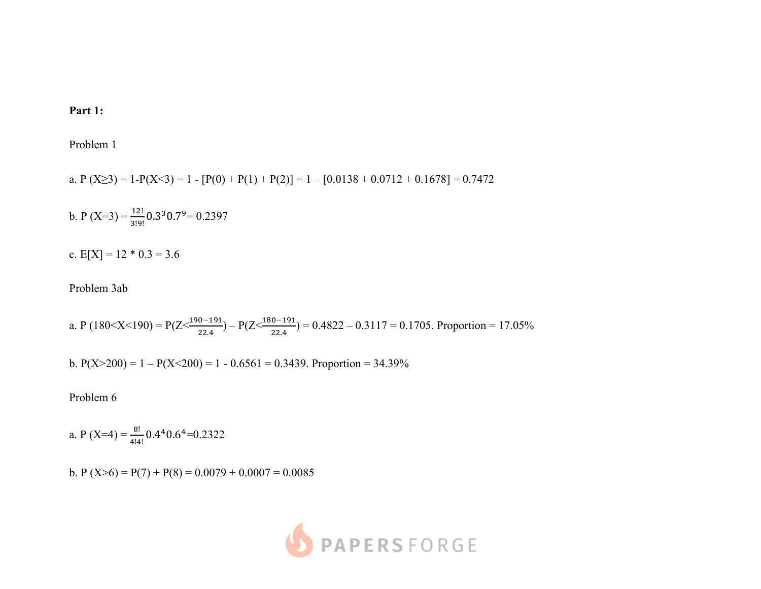## **Part 1:**

Problem 1

a. P  $(X \ge 3) = 1 - P(X \le 3) = 1 - [P(0) + P(1) + P(2)] = 1 - [0.0138 + 0.0712 + 0.1678] = 0.7472$ 

b. P (X=3) =  $\frac{12!}{3!9!}$  0.3<sup>3</sup> 0.7<sup>9</sup> = 0.2397

c.  $E[X] = 12 * 0.3 = 3.6$ 

Problem 3ab

a. P (180<X<190) = P(Z< $\frac{190-191}{22.4}$ ) – P(Z< $\frac{180-191}{22.4}$ ) = 0.4822 – 0.3117 = 0.1705. Proportion = 17.05%

b.  $P(X>200) = 1 - P(X<200) = 1 - 0.6561 = 0.3439$ . Proportion = 34.39%

Problem 6

a. P (X=4) =  $\frac{8!}{4!4!}$  0.4<sup>4</sup> 0.6<sup>4</sup> = 0.2322

b. P  $(X>6) = P(7) + P(8) = 0.0079 + 0.0007 = 0.0085$ 

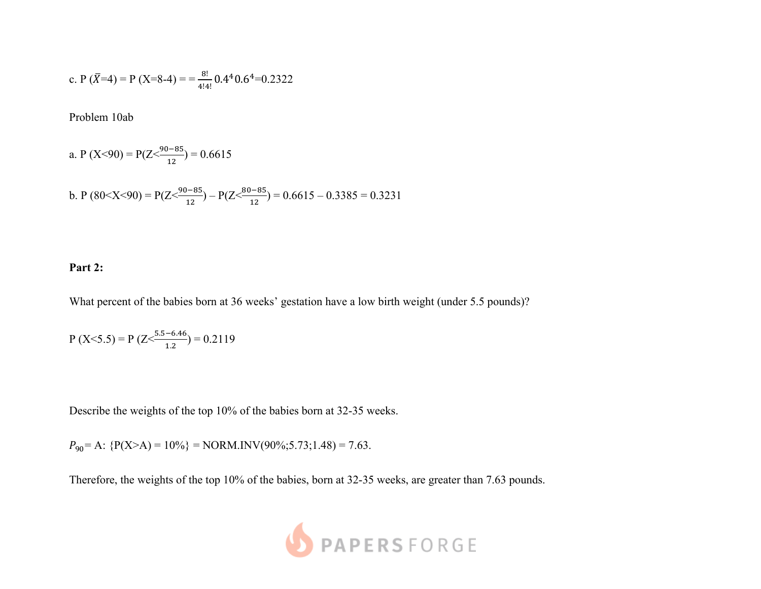c. P (
$$
\bar{X}=4
$$
) = P (X=8-4) =  $=$   $\frac{8!}{4!4!}$  0.4<sup>4</sup> 0.6<sup>4</sup>=0.2322

Problem 10ab

a. P (X<90) = P(Z
$$
\frac{90-85}{12}
$$
) = 0.6615

b. P (80<X<90) = P(Z<%&'\*+ !" ) – P(Z<\*&'\*+ !" ) = 0.6615 – 0.3385 = 0.3231

## **Part 2:**

What percent of the babies born at 36 weeks' gestation have a low birth weight (under 5.5 pounds)?

$$
P(X<5.5) = P(Z < \frac{5.5 - 6.46}{1.2}) = 0.2119
$$

Describe the weights of the top 10% of the babies born at 32-35 weeks.

 $P_{90}$  = A: {P(X>A) = 10%} = NORM.INV(90%;5.73;1.48) = 7.63.

Therefore, the weights of the top 10% of the babies, born at 32-35 weeks, are greater than 7.63 pounds.

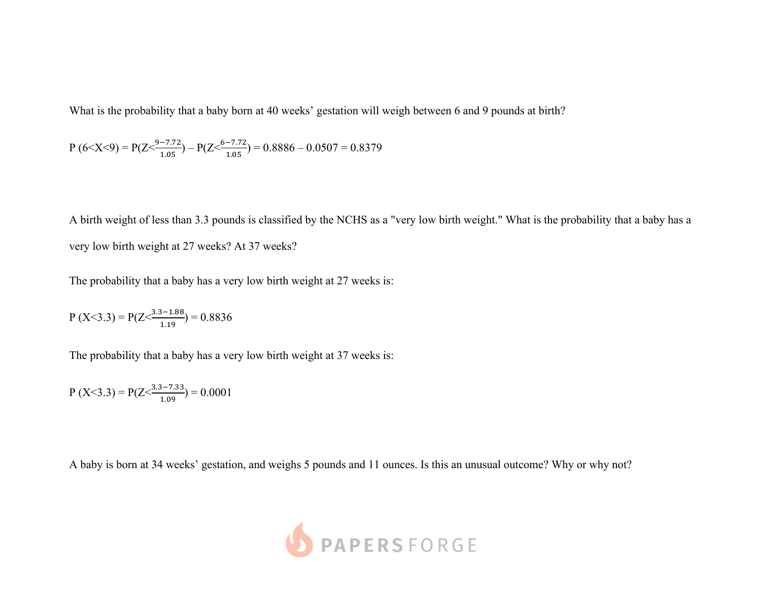What is the probability that a baby born at 40 weeks' gestation will weigh between 6 and 9 pounds at birth?

$$
P (6 < X < 9) = P(Z < \frac{9 - 7.72}{1.05}) - P(Z < \frac{6 - 7.72}{1.05}) = 0.8886 - 0.0507 = 0.8379
$$

A birth weight of less than 3.3 pounds is classified by the NCHS as a "very low birth weight." What is the probability that a baby has a very low birth weight at 27 weeks? At 37 weeks?

The probability that a baby has a very low birth weight at 27 weeks is:

$$
P(X<3.3) = P(Z < \frac{3.3 - 1.88}{1.19}) = 0.8836
$$

The probability that a baby has a very low birth weight at 37 weeks is:

$$
P(X<3.3) = P(Z < \frac{3.3 - 7.33}{1.09}) = 0.0001
$$

A baby is born at 34 weeks' gestation, and weighs 5 pounds and 11 ounces. Is this an unusual outcome? Why or why not?

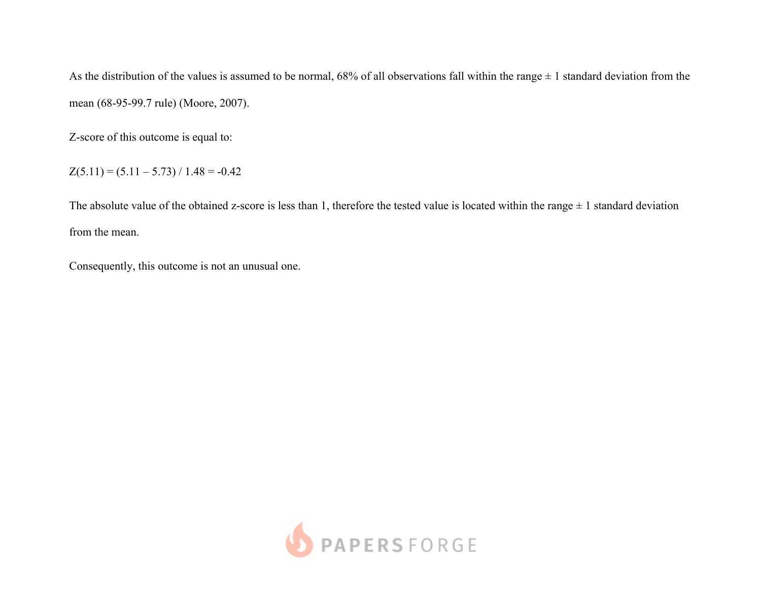As the distribution of the values is assumed to be normal,  $68\%$  of all observations fall within the range  $\pm 1$  standard deviation from the mean (68-95-99.7 rule) (Moore, 2007).

Z-score of this outcome is equal to:

 $Z(5.11) = (5.11 - 5.73) / 1.48 = -0.42$ 

The absolute value of the obtained z-score is less than 1, therefore the tested value is located within the range  $\pm$  1 standard deviation from the mean.

Consequently, this outcome is not an unusual one.